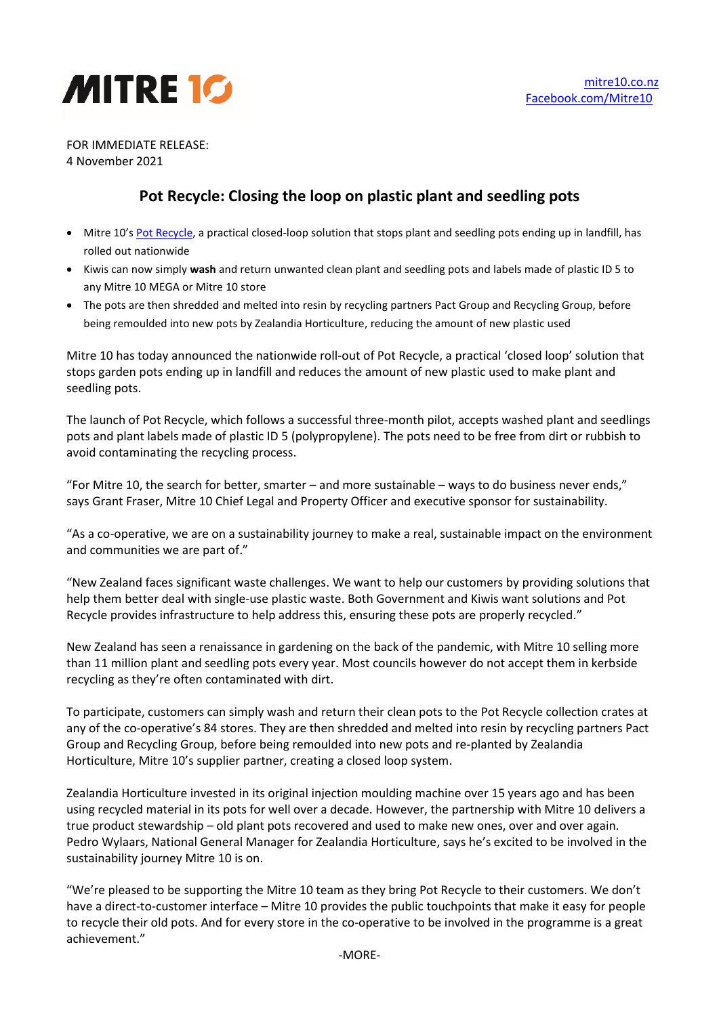

FOR IMMEDIATE RELEASE: 4 November 2021

## **Pot Recycle: Closing the loop on plastic plant and seedling pots**

- Mitre 10's [Pot Recycle,](https://www.mitre10.co.nz/potrecycling) a practical closed-loop solution that stops plant and seedling pots ending up in landfill, has rolled out nationwide
- Kiwis can now simply **wash** and return unwanted clean plant and seedling pots and labels made of plastic ID 5 to any Mitre 10 MEGA or Mitre 10 store
- The pots are then shredded and melted into resin by recycling partners Pact Group and Recycling Group, before being remoulded into new pots by Zealandia Horticulture, reducing the amount of new plastic used

Mitre 10 has today announced the nationwide roll-out of Pot Recycle, a practical 'closed loop' solution that stops garden pots ending up in landfill and reduces the amount of new plastic used to make plant and seedling pots.

The launch of Pot Recycle, which follows a successful three-month pilot, accepts washed plant and seedlings pots and plant labels made of plastic ID 5 (polypropylene). The pots need to be free from dirt or rubbish to avoid contaminating the recycling process.

"For Mitre 10, the search for better, smarter – and more sustainable – ways to do business never ends," says Grant Fraser, Mitre 10 Chief Legal and Property Officer and executive sponsor for sustainability.

"As a co-operative, we are on a sustainability journey to make a real, sustainable impact on the environment and communities we are part of."

"New Zealand faces significant waste challenges. We want to help our customers by providing solutions that help them better deal with single-use plastic waste. Both Government and Kiwis want solutions and Pot Recycle provides infrastructure to help address this, ensuring these pots are properly recycled."

New Zealand has seen a renaissance in gardening on the back of the pandemic, with Mitre 10 selling more than 11 million plant and seedling pots every year. Most councils however do not accept them in kerbside recycling as they're often contaminated with dirt.

To participate, customers can simply wash and return their clean pots to the Pot Recycle collection crates at any of the co-operative's 84 stores. They are then shredded and melted into resin by recycling partners Pact Group and Recycling Group, before being remoulded into new pots and re-planted by Zealandia Horticulture, Mitre 10's supplier partner, creating a closed loop system.

Zealandia Horticulture invested in its original injection moulding machine over 15 years ago and has been using recycled material in its pots for well over a decade. However, the partnership with Mitre 10 delivers a true product stewardship – old plant pots recovered and used to make new ones, over and over again. Pedro Wylaars, National General Manager for Zealandia Horticulture, says he's excited to be involved in the sustainability journey Mitre 10 is on.

"We're pleased to be supporting the Mitre 10 team as they bring Pot Recycle to their customers. We don't have a direct-to-customer interface – Mitre 10 provides the public touchpoints that make it easy for people to recycle their old pots. And for every store in the co-operative to be involved in the programme is a great achievement."